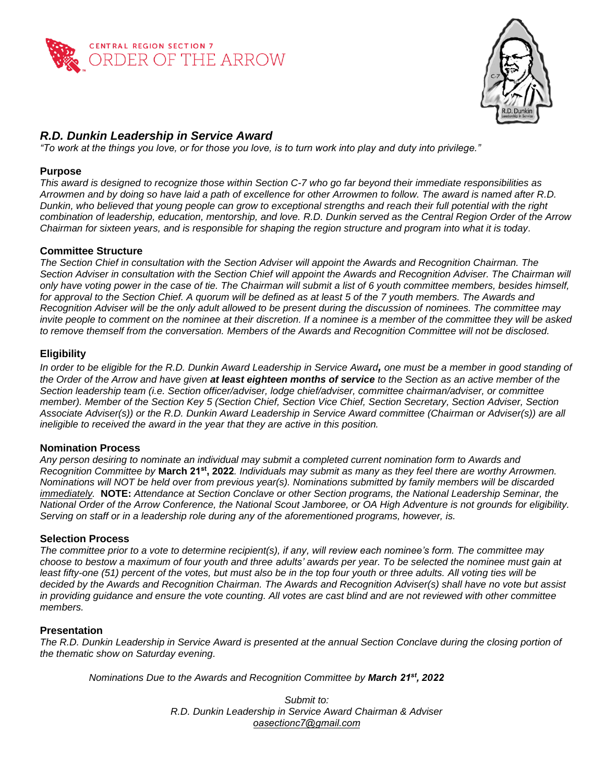



# *R.D. Dunkin Leadership in Service Award*

*"To work at the things you love, or for those you love, is to turn work into play and duty into privilege."* 

## **Purpose**

*This award is designed to recognize those within Section C-7 who go far beyond their immediate responsibilities as Arrowmen and by doing so have laid a path of excellence for other Arrowmen to follow. The award is named after R.D. Dunkin, who believed that young people can grow to exceptional strengths and reach their full potential with the right combination of leadership, education, mentorship, and love. R.D. Dunkin served as the Central Region Order of the Arrow Chairman for sixteen years, and is responsible for shaping the region structure and program into what it is today.* 

### **Committee Structure**

*The Section Chief in consultation with the Section Adviser will appoint the Awards and Recognition Chairman. The Section Adviser in consultation with the Section Chief will appoint the Awards and Recognition Adviser. The Chairman will only have voting power in the case of tie. The Chairman will submit a list of 6 youth committee members, besides himself,*  for approval to the Section Chief. A quorum will be defined as at least 5 of the 7 youth members. The Awards and *Recognition Adviser will be the only adult allowed to be present during the discussion of nominees. The committee may invite people to comment on the nominee at their discretion. If a nominee is a member of the committee they will be asked to remove themself from the conversation. Members of the Awards and Recognition Committee will not be disclosed.*

## **Eligibility**

*In order to be eligible for the R.D. Dunkin Award Leadership in Service Award, one must be a member in good standing of the Order of the Arrow and have given at least eighteen months of service to the Section as an active member of the Section leadership team (i.e. Section officer/adviser, lodge chief/adviser, committee chairman/adviser, or committee member). Member of the Section Key 5 (Section Chief, Section Vice Chief, Section Secretary, Section Adviser, Section Associate Adviser(s)) or the R.D. Dunkin Award Leadership in Service Award committee (Chairman or Adviser(s)) are all ineligible to received the award in the year that they are active in this position.* 

#### **Nomination Process**

*Any person desiring to nominate an individual may submit a completed current nomination form to Awards and Recognition Committee by* **March 21st, 2022***. Individuals may submit as many as they feel there are worthy Arrowmen. Nominations will NOT be held over from previous year(s). Nominations submitted by family members will be discarded immediately.* **NOTE:** *Attendance at Section Conclave or other Section programs, the National Leadership Seminar, the National Order of the Arrow Conference, the National Scout Jamboree, or OA High Adventure is not grounds for eligibility. Serving on staff or in a leadership role during any of the aforementioned programs, however, is.* 

## **Selection Process**

*The committee prior to a vote to determine recipient(s), if any, will review each nominee's form. The committee may choose to bestow a maximum of four youth and three adults' awards per year. To be selected the nominee must gain at*  least fifty-one (51) percent of the votes, but must also be in the top four youth or three adults. All voting ties will be *decided by the Awards and Recognition Chairman. The Awards and Recognition Adviser(s) shall have no vote but assist in providing guidance and ensure the vote counting. All votes are cast blind and are not reviewed with other committee members.*

#### **Presentation**

*The R.D. Dunkin Leadership in Service Award is presented at the annual Section Conclave during the closing portion of the thematic show on Saturday evening.* 

*Nominations Due to the Awards and Recognition Committee by March 21st , 2022*

*Submit to: R.D. Dunkin Leadership in Service Award Chairman & Adviser [oasectionc7@gmail.com](mailto:rddunkinaward@oac7.org)*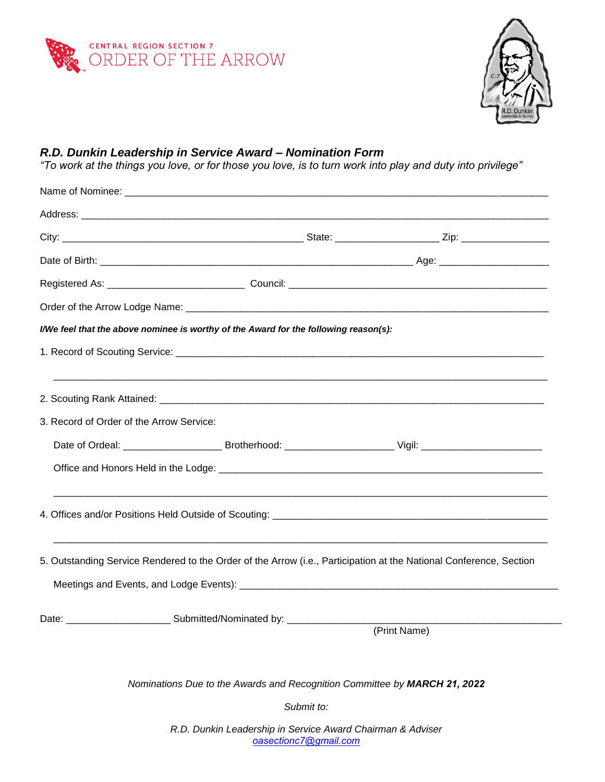



# *R.D. Dunkin Leadership in Service Award – Nomination Form*

*"To work at the things you love, or for those you love, is to turn work into play and duty into privilege"*

| I/We feel that the above nominee is worthy of the Award for the following reason(s):                               |              |  |
|--------------------------------------------------------------------------------------------------------------------|--------------|--|
|                                                                                                                    |              |  |
|                                                                                                                    |              |  |
| 3. Record of Order of the Arrow Service:                                                                           |              |  |
|                                                                                                                    |              |  |
|                                                                                                                    |              |  |
|                                                                                                                    |              |  |
| 5. Outstanding Service Rendered to the Order of the Arrow (i.e., Participation at the National Conference, Section |              |  |
|                                                                                                                    |              |  |
|                                                                                                                    | (Print Name) |  |

*Nominations Due to the Awards and Recognition Committee by MARCH 21, 2022*

*Submit to:* 

*R.D. Dunkin Lea[dership in Service Award Cha](mailto:rddunkinaward@oac7.org)irman & Adviser oasectionc7@gmail.com*